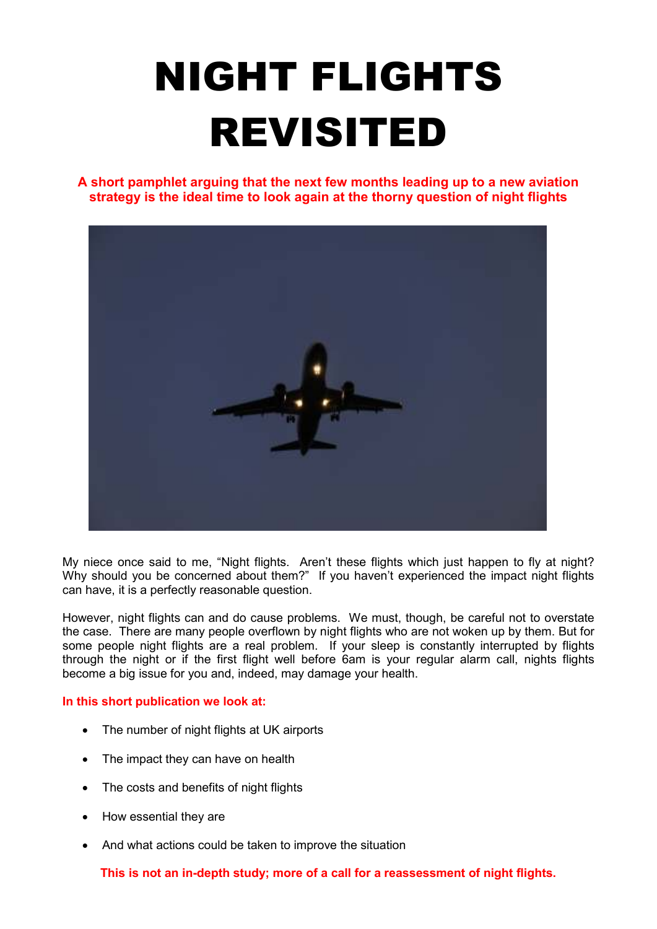# NIGHT FLIGHTS REVISITED

**A short pamphlet arguing that the next few months leading up to a new aviation strategy is the ideal time to look again at the thorny question of night flights** 



My niece once said to me, "Night flights. Aren't these flights which just happen to fly at night? Why should you be concerned about them?" If you haven't experienced the impact night flights can have, it is a perfectly reasonable question.

However, night flights can and do cause problems. We must, though, be careful not to overstate the case. There are many people overflown by night flights who are not woken up by them. But for some people night flights are a real problem. If your sleep is constantly interrupted by flights through the night or if the first flight well before 6am is your regular alarm call, nights flights become a big issue for you and, indeed, may damage your health.

#### **In this short publication we look at:**

- The number of night flights at UK airports
- The impact they can have on health
- The costs and benefits of night flights
- How essential they are
- And what actions could be taken to improve the situation

**This is not an in-depth study; more of a call for a reassessment of night flights.**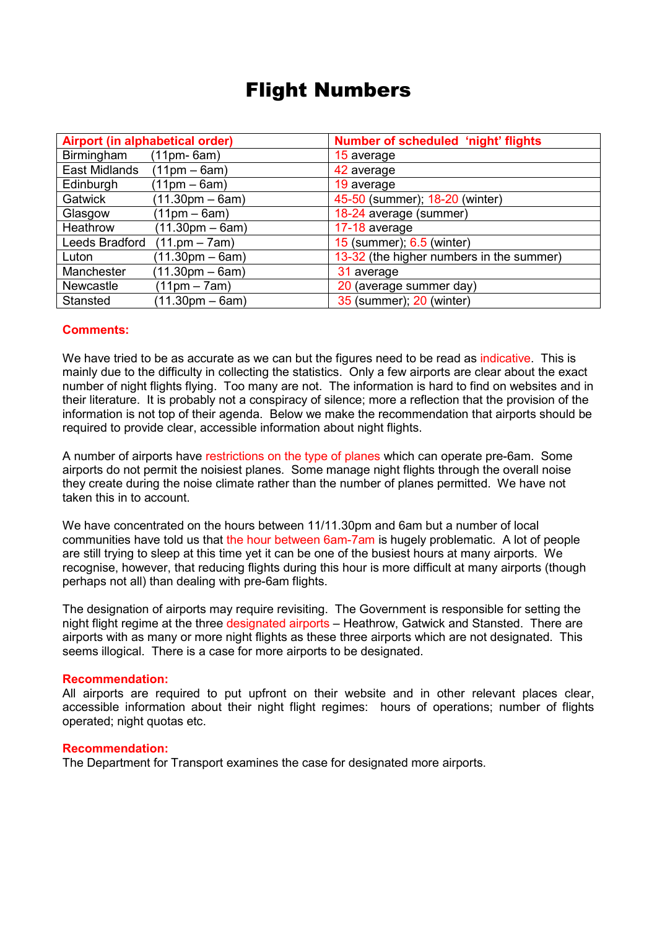### Flight Numbers

| Airport (in alphabetical order) |                                   | Number of scheduled 'night' flights      |
|---------------------------------|-----------------------------------|------------------------------------------|
| Birmingham                      | $(11pm-6am)$                      | 15 average                               |
| East Midlands                   | $(11pm - 6am)$                    | 42 average                               |
| Edinburgh                       | $(11pm - 6am)$                    | 19 average                               |
| Gatwick                         | $(11.30 \text{pm} - 6 \text{am})$ | 45-50 (summer); 18-20 (winter)           |
| Glasgow                         | $(11pm - 6am)$                    | 18-24 average (summer)                   |
| Heathrow                        | $(11.30pm - 6am)$                 | 17-18 average                            |
| Leeds Bradford                  | $(11.pm - 7am)$                   | 15 (summer); 6.5 (winter)                |
| Luton                           | $(11.30 \text{pm} - 6 \text{am})$ | 13-32 (the higher numbers in the summer) |
| Manchester                      | $(11.30 \text{pm} - 6 \text{am})$ | 31 average                               |
| <b>Newcastle</b>                | $(11pm - 7am)$                    | 20 (average summer day)                  |
| Stansted                        | $(11.30pm - 6am)$                 | 35 (summer); 20 (winter)                 |

#### **Comments:**

We have tried to be as accurate as we can but the figures need to be read as indicative. This is mainly due to the difficulty in collecting the statistics. Only a few airports are clear about the exact number of night flights flying. Too many are not. The information is hard to find on websites and in their literature. It is probably not a conspiracy of silence; more a reflection that the provision of the information is not top of their agenda. Below we make the recommendation that airports should be required to provide clear, accessible information about night flights.

A number of airports have restrictions on the type of planes which can operate pre-6am. Some airports do not permit the noisiest planes. Some manage night flights through the overall noise they create during the noise climate rather than the number of planes permitted. We have not taken this in to account.

We have concentrated on the hours between 11/11.30pm and 6am but a number of local communities have told us that the hour between 6am-7am is hugely problematic. A lot of people are still trying to sleep at this time yet it can be one of the busiest hours at many airports. We recognise, however, that reducing flights during this hour is more difficult at many airports (though perhaps not all) than dealing with pre-6am flights.

The designation of airports may require revisiting. The Government is responsible for setting the night flight regime at the three designated airports – Heathrow, Gatwick and Stansted. There are airports with as many or more night flights as these three airports which are not designated. This seems illogical. There is a case for more airports to be designated.

#### **Recommendation:**

All airports are required to put upfront on their website and in other relevant places clear, accessible information about their night flight regimes: hours of operations; number of flights operated; night quotas etc.

#### **Recommendation:**

The Department for Transport examines the case for designated more airports.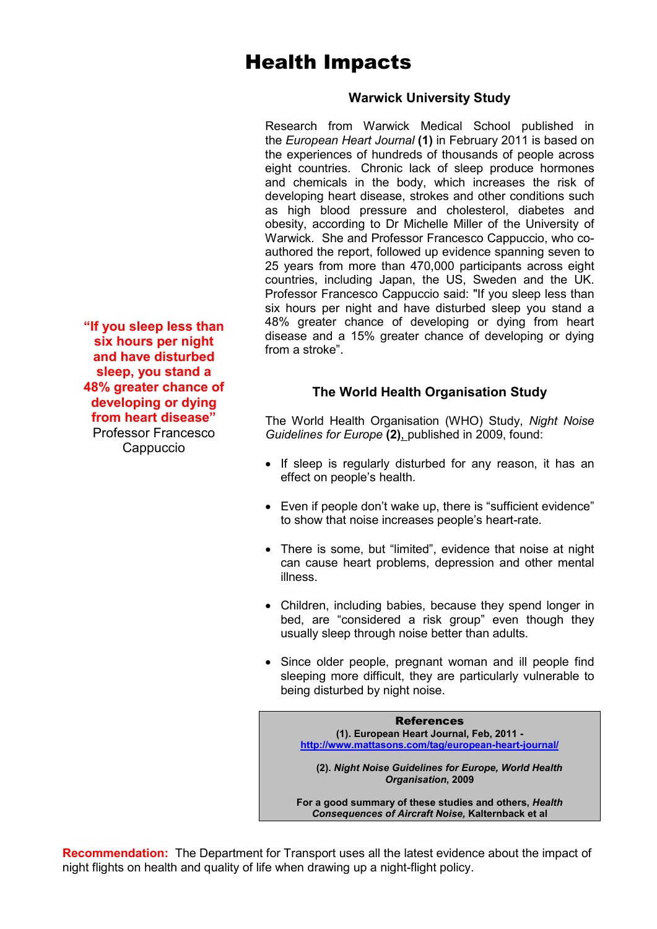## Health Impacts

#### **Warwick University Study**

Research from Warwick Medical School published in the *European Heart Journal* **(1)** in February 2011 is based on the experiences of hundreds of thousands of people across eight countries. Chronic lack of sleep produce hormones and chemicals in the body, which increases the risk of developing heart disease, strokes and other conditions such as high blood pressure and cholesterol, diabetes and obesity, according to Dr Michelle Miller of the University of Warwick. She and Professor Francesco Cappuccio, who coauthored the report, followed up evidence spanning seven to 25 years from more than 470,000 participants across eight countries, including Japan, the US, Sweden and the UK. Professor Francesco Cappuccio said: "If you sleep less than six hours per night and have disturbed sleep you stand a 48% greater chance of developing or dying from heart disease and a 15% greater chance of developing or dying from a stroke".

**The World Health Organisation Study** 

The World Health Organisation (WHO) Study, *Night Noise Guidelines for Europe* **(2)**, published in 2009, found:

- If sleep is regularly disturbed for any reason, it has an effect on people's health.
- Even if people don't wake up, there is "sufficient evidence" to show that noise increases people's heart-rate.
- There is some, but "limited", evidence that noise at night can cause heart problems, depression and other mental illness.
- Children, including babies, because they spend longer in bed, are "considered a risk group" even though they usually sleep through noise better than adults.
- Since older people, pregnant woman and ill people find sleeping more difficult, they are particularly vulnerable to being disturbed by night noise.

References **(1). European Heart Journal, Feb, 2011 http://www.mattasons.com/tag/european-heart-journal/ (2).** *Night Noise Guidelines for Europe, World Health Organisation***, 2009** 

**For a good summary of these studies and others,** *Health Consequences of Aircraft Noise,* **Kalternback et al** 

**Recommendation:** The Department for Transport uses all the latest evidence about the impact of night flights on health and quality of life when drawing up a night-flight policy.

**"If you sleep less than six hours per night and have disturbed sleep, you stand a 48% greater chance of developing or dying from heart disease"** Professor Francesco Cappuccio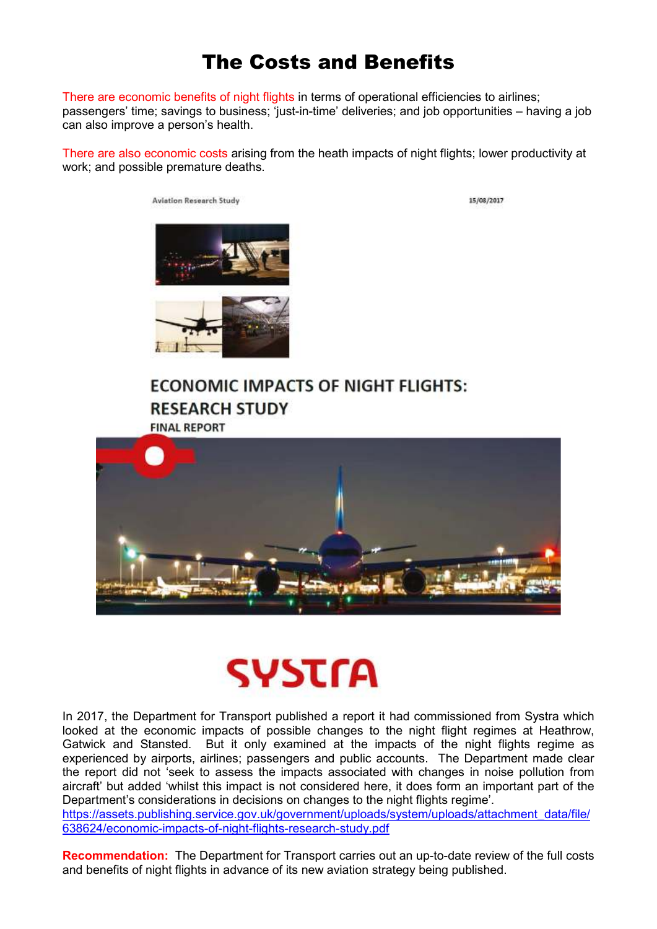## The Costs and Benefits

There are economic benefits of night flights in terms of operational efficiencies to airlines; passengers' time; savings to business; 'just-in-time' deliveries; and job opportunities – having a job can also improve a person's health.

There are also economic costs arising from the heath impacts of night flights; lower productivity at work; and possible premature deaths.

**Aviation Research Study** 

15/08/2017





#### **ECONOMIC IMPACTS OF NIGHT FLIGHTS: RESEARCH STUDY FINAL REPORT**



## SYSTra

In 2017, the Department for Transport published a report it had commissioned from Systra which looked at the economic impacts of possible changes to the night flight regimes at Heathrow, Gatwick and Stansted. But it only examined at the impacts of the night flights regime as experienced by airports, airlines; passengers and public accounts. The Department made clear the report did not 'seek to assess the impacts associated with changes in noise pollution from aircraft' but added 'whilst this impact is not considered here, it does form an important part of the Department's considerations in decisions on changes to the night flights regime'.

https://assets.publishing.service.gov.uk/government/uploads/system/uploads/attachment\_data/file/ 638624/economic-impacts-of-night-flights-research-study.pdf

**Recommendation:** The Department for Transport carries out an up-to-date review of the full costs and benefits of night flights in advance of its new aviation strategy being published.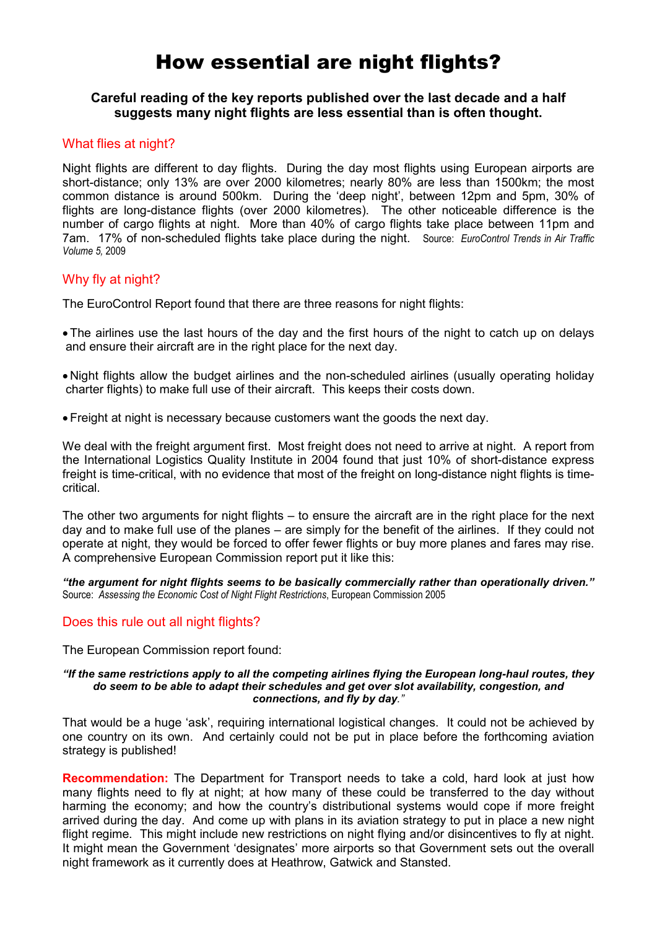## How essential are night flights?

#### **Careful reading of the key reports published over the last decade and a half suggests many night flights are less essential than is often thought.**

#### What flies at night?

Night flights are different to day flights. During the day most flights using European airports are short-distance; only 13% are over 2000 kilometres; nearly 80% are less than 1500km; the most common distance is around 500km. During the 'deep night', between 12pm and 5pm, 30% of flights are long-distance flights (over 2000 kilometres). The other noticeable difference is the number of cargo flights at night. More than 40% of cargo flights take place between 11pm and 7am. 17% of non-scheduled flights take place during the night. Source: *EuroControl Trends in Air Traffic Volume 5,* 2009

#### Why fly at night?

The EuroControl Report found that there are three reasons for night flights:

- The airlines use the last hours of the day and the first hours of the night to catch up on delays and ensure their aircraft are in the right place for the next day.
- Night flights allow the budget airlines and the non-scheduled airlines (usually operating holiday charter flights) to make full use of their aircraft. This keeps their costs down.
- Freight at night is necessary because customers want the goods the next day.

We deal with the freight argument first. Most freight does not need to arrive at night. A report from the International Logistics Quality Institute in 2004 found that just 10% of short-distance express freight is time-critical, with no evidence that most of the freight on long-distance night flights is timecritical.

The other two arguments for night flights – to ensure the aircraft are in the right place for the next day and to make full use of the planes – are simply for the benefit of the airlines. If they could not operate at night, they would be forced to offer fewer flights or buy more planes and fares may rise. A comprehensive European Commission report put it like this:

*"the argument for night flights seems to be basically commercially rather than operationally driven."* Source: *Assessing the Economic Cost of Night Flight Restrictions*, European Commission 2005

#### Does this rule out all night flights?

The European Commission report found:

#### *"If the same restrictions apply to all the competing airlines flying the European long-haul routes, they do seem to be able to adapt their schedules and get over slot availability, congestion, and connections, and fly by day."*

That would be a huge 'ask', requiring international logistical changes. It could not be achieved by one country on its own. And certainly could not be put in place before the forthcoming aviation strategy is published!

**Recommendation:** The Department for Transport needs to take a cold, hard look at just how many flights need to fly at night; at how many of these could be transferred to the day without harming the economy; and how the country's distributional systems would cope if more freight arrived during the day. And come up with plans in its aviation strategy to put in place a new night flight regime. This might include new restrictions on night flying and/or disincentives to fly at night. It might mean the Government 'designates' more airports so that Government sets out the overall night framework as it currently does at Heathrow, Gatwick and Stansted.